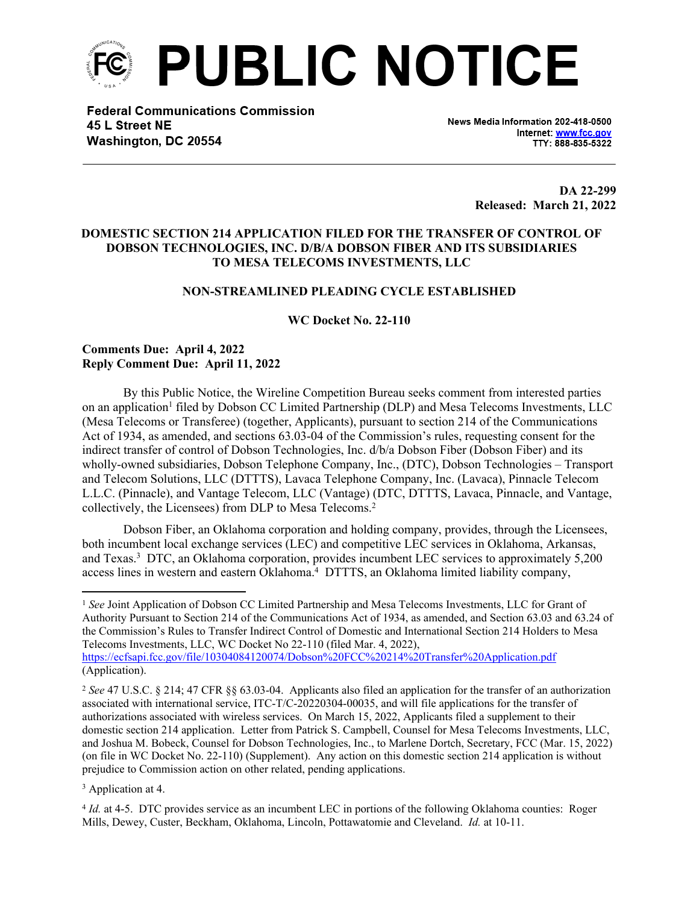

**Federal Communications Commission** 45 L Street NE Washington, DC 20554

News Media Information 202-418-0500 Internet: www.fcc.gov TTY: 888-835-5322

> **DA 22-299 Released: March 21, 2022**

# **DOMESTIC SECTION 214 APPLICATION FILED FOR THE TRANSFER OF CONTROL OF DOBSON TECHNOLOGIES, INC. D/B/A DOBSON FIBER AND ITS SUBSIDIARIES TO MESA TELECOMS INVESTMENTS, LLC**

### **NON-STREAMLINED PLEADING CYCLE ESTABLISHED**

**WC Docket No. 22-110**

## **Comments Due: April 4, 2022 Reply Comment Due: April 11, 2022**

By this Public Notice, the Wireline Competition Bureau seeks comment from interested parties on an application<sup>1</sup> filed by Dobson CC Limited Partnership (DLP) and Mesa Telecoms Investments, LLC (Mesa Telecoms or Transferee) (together, Applicants), pursuant to section 214 of the Communications Act of 1934, as amended, and sections 63.03-04 of the Commission's rules, requesting consent for the indirect transfer of control of Dobson Technologies, Inc. d/b/a Dobson Fiber (Dobson Fiber) and its wholly-owned subsidiaries, Dobson Telephone Company, Inc., (DTC), Dobson Technologies – Transport and Telecom Solutions, LLC (DTTTS), Lavaca Telephone Company, Inc. (Lavaca), Pinnacle Telecom L.L.C. (Pinnacle), and Vantage Telecom, LLC (Vantage) (DTC, DTTTS, Lavaca, Pinnacle, and Vantage, collectively, the Licensees) from DLP to Mesa Telecoms.<sup>2</sup>

Dobson Fiber, an Oklahoma corporation and holding company, provides, through the Licensees, both incumbent local exchange services (LEC) and competitive LEC services in Oklahoma, Arkansas, and Texas.<sup>3</sup> DTC, an Oklahoma corporation, provides incumbent LEC services to approximately 5,200 access lines in western and eastern Oklahoma.<sup>4</sup> DTTTS, an Oklahoma limited liability company,

<sup>&</sup>lt;sup>1</sup> See Joint Application of Dobson CC Limited Partnership and Mesa Telecoms Investments, LLC for Grant of Authority Pursuant to Section 214 of the Communications Act of 1934, as amended, and Section 63.03 and 63.24 of the Commission's Rules to Transfer Indirect Control of Domestic and International Section 214 Holders to Mesa Telecoms Investments, LLC, WC Docket No 22-110 (filed Mar. 4, 2022), <https://ecfsapi.fcc.gov/file/10304084120074/Dobson%20FCC%20214%20Transfer%20Application.pdf> (Application).

<sup>2</sup> *See* 47 U.S.C. § 214; 47 CFR §§ 63.03-04. Applicants also filed an application for the transfer of an authorization associated with international service, ITC-T/C-20220304-00035, and will file applications for the transfer of authorizations associated with wireless services. On March 15, 2022, Applicants filed a supplement to their domestic section 214 application. Letter from Patrick S. Campbell, Counsel for Mesa Telecoms Investments, LLC, and Joshua M. Bobeck, Counsel for Dobson Technologies, Inc., to Marlene Dortch, Secretary, FCC (Mar. 15, 2022) (on file in WC Docket No. 22-110) (Supplement). Any action on this domestic section 214 application is without prejudice to Commission action on other related, pending applications.

<sup>&</sup>lt;sup>3</sup> Application at 4.

<sup>4</sup> *Id.* at 4-5. DTC provides service as an incumbent LEC in portions of the following Oklahoma counties: Roger Mills, Dewey, Custer, Beckham, Oklahoma, Lincoln, Pottawatomie and Cleveland. *Id.* at 10-11.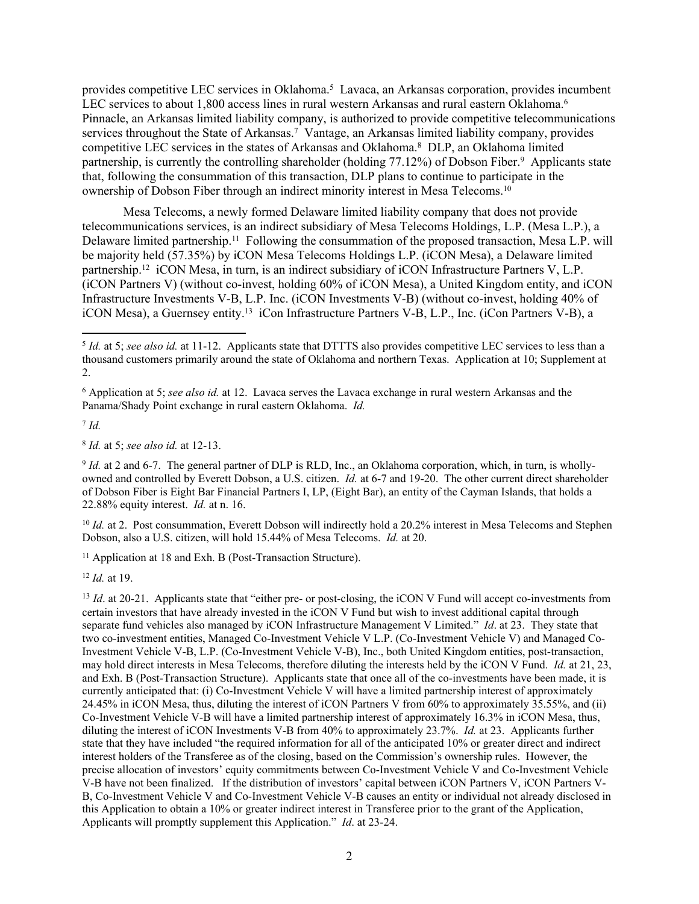provides competitive LEC services in Oklahoma.<sup>5</sup> Lavaca, an Arkansas corporation, provides incumbent LEC services to about 1,800 access lines in rural western Arkansas and rural eastern Oklahoma.<sup>6</sup> Pinnacle, an Arkansas limited liability company, is authorized to provide competitive telecommunications services throughout the State of Arkansas.<sup>7</sup> Vantage, an Arkansas limited liability company, provides competitive LEC services in the states of Arkansas and Oklahoma.<sup>8</sup> DLP, an Oklahoma limited partnership, is currently the controlling shareholder (holding 77.12%) of Dobson Fiber.<sup>9</sup> Applicants state that, following the consummation of this transaction, DLP plans to continue to participate in the ownership of Dobson Fiber through an indirect minority interest in Mesa Telecoms.<sup>10</sup>

Mesa Telecoms, a newly formed Delaware limited liability company that does not provide telecommunications services, is an indirect subsidiary of Mesa Telecoms Holdings, L.P. (Mesa L.P.), a Delaware limited partnership.<sup>11</sup> Following the consummation of the proposed transaction, Mesa L.P. will be majority held (57.35%) by iCON Mesa Telecoms Holdings L.P. (iCON Mesa), a Delaware limited partnership.<sup>12</sup> iCON Mesa, in turn, is an indirect subsidiary of iCON Infrastructure Partners V, L.P. (iCON Partners V) (without co-invest, holding 60% of iCON Mesa), a United Kingdom entity, and iCON Infrastructure Investments V-B, L.P. Inc. (iCON Investments V-B) (without co-invest, holding 40% of iCON Mesa), a Guernsey entity.<sup>13</sup> iCon Infrastructure Partners V-B, L.P., Inc. (iCon Partners V-B), a

7 *Id.* 

8 *Id.* at 5; *see also id.* at 12-13.

9 *Id.* at 2 and 6-7. The general partner of DLP is RLD, Inc., an Oklahoma corporation, which, in turn, is whollyowned and controlled by Everett Dobson, a U.S. citizen. *Id.* at 6-7 and 19-20. The other current direct shareholder of Dobson Fiber is Eight Bar Financial Partners I, LP, (Eight Bar), an entity of the Cayman Islands, that holds a 22.88% equity interest. *Id.* at n. 16.

<sup>10</sup> *Id.* at 2. Post consummation, Everett Dobson will indirectly hold a 20.2% interest in Mesa Telecoms and Stephen Dobson, also a U.S. citizen, will hold 15.44% of Mesa Telecoms. *Id.* at 20.

<sup>11</sup> Application at 18 and Exh. B (Post-Transaction Structure).

<sup>12</sup> *Id.* at 19.

<sup>13</sup> *Id.* at 20-21. Applicants state that "either pre- or post-closing, the iCON V Fund will accept co-investments from certain investors that have already invested in the iCON V Fund but wish to invest additional capital through separate fund vehicles also managed by iCON Infrastructure Management V Limited." *Id*. at 23. They state that two co-investment entities, Managed Co-Investment Vehicle V L.P. (Co-Investment Vehicle V) and Managed Co-Investment Vehicle V-B, L.P. (Co-Investment Vehicle V-B), Inc., both United Kingdom entities, post-transaction, may hold direct interests in Mesa Telecoms, therefore diluting the interests held by the iCON V Fund. *Id.* at 21, 23, and Exh. B (Post-Transaction Structure). Applicants state that once all of the co-investments have been made, it is currently anticipated that: (i) Co-Investment Vehicle V will have a limited partnership interest of approximately 24.45% in iCON Mesa, thus, diluting the interest of iCON Partners V from 60% to approximately 35.55%, and (ii) Co-Investment Vehicle V-B will have a limited partnership interest of approximately 16.3% in iCON Mesa, thus, diluting the interest of iCON Investments V-B from 40% to approximately 23.7%. *Id.* at 23. Applicants further state that they have included "the required information for all of the anticipated 10% or greater direct and indirect interest holders of the Transferee as of the closing, based on the Commission's ownership rules. However, the precise allocation of investors' equity commitments between Co-Investment Vehicle V and Co-Investment Vehicle V-B have not been finalized. If the distribution of investors' capital between iCON Partners V, iCON Partners V-B, Co-Investment Vehicle V and Co-Investment Vehicle V-B causes an entity or individual not already disclosed in this Application to obtain a 10% or greater indirect interest in Transferee prior to the grant of the Application, Applicants will promptly supplement this Application." *Id*. at 23-24.

<sup>5</sup> *Id.* at 5; *see also id.* at 11-12. Applicants state that DTTTS also provides competitive LEC services to less than a thousand customers primarily around the state of Oklahoma and northern Texas. Application at 10; Supplement at 2.

<sup>6</sup> Application at 5; *see also id.* at 12. Lavaca serves the Lavaca exchange in rural western Arkansas and the Panama/Shady Point exchange in rural eastern Oklahoma. *Id.*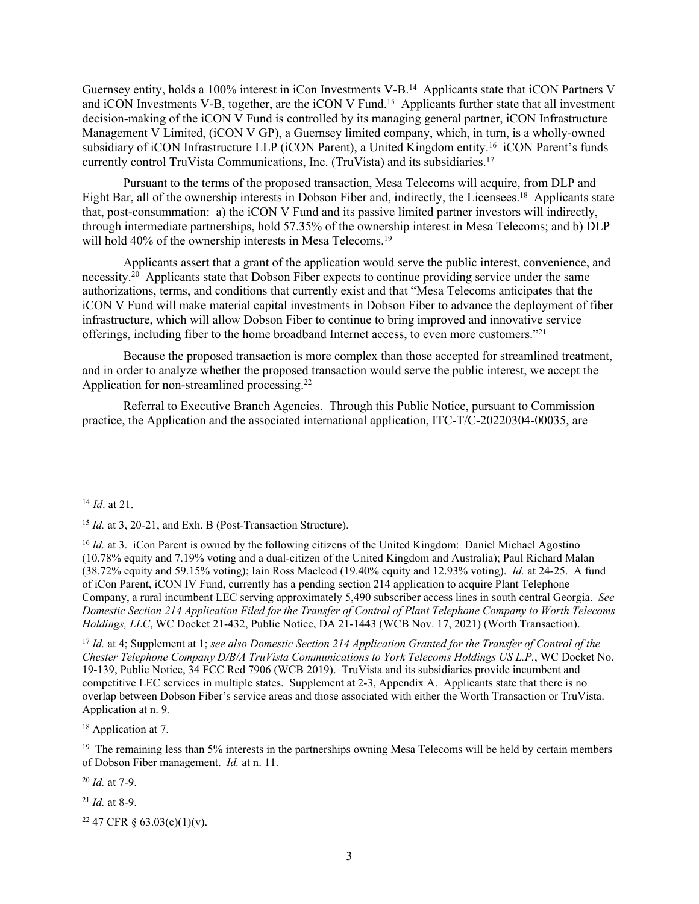Guernsey entity, holds a 100% interest in iCon Investments V-B.<sup>14</sup> Applicants state that iCON Partners V and iCON Investments V-B, together, are the iCON V Fund.<sup>15</sup> Applicants further state that all investment decision-making of the iCON V Fund is controlled by its managing general partner, iCON Infrastructure Management V Limited, (iCON V GP), a Guernsey limited company, which, in turn, is a wholly-owned subsidiary of iCON Infrastructure LLP (iCON Parent), a United Kingdom entity.<sup>16</sup> iCON Parent's funds currently control TruVista Communications, Inc. (TruVista) and its subsidiaries.<sup>17</sup>

Pursuant to the terms of the proposed transaction, Mesa Telecoms will acquire, from DLP and Eight Bar, all of the ownership interests in Dobson Fiber and, indirectly, the Licensees.<sup>18</sup> Applicants state that, post-consummation: a) the iCON V Fund and its passive limited partner investors will indirectly, through intermediate partnerships, hold 57.35% of the ownership interest in Mesa Telecoms; and b) DLP will hold 40% of the ownership interests in Mesa Telecoms.<sup>19</sup>

Applicants assert that a grant of the application would serve the public interest, convenience, and necessity. $20$  Applicants state that Dobson Fiber expects to continue providing service under the same authorizations, terms, and conditions that currently exist and that "Mesa Telecoms anticipates that the iCON V Fund will make material capital investments in Dobson Fiber to advance the deployment of fiber infrastructure, which will allow Dobson Fiber to continue to bring improved and innovative service offerings, including fiber to the home broadband Internet access, to even more customers."<sup>21</sup>

Because the proposed transaction is more complex than those accepted for streamlined treatment, and in order to analyze whether the proposed transaction would serve the public interest, we accept the Application for non-streamlined processing.<sup>22</sup>

Referral to Executive Branch Agencies. Through this Public Notice, pursuant to Commission practice, the Application and the associated international application, ITC-T/C-20220304-00035, are

<sup>17</sup> *Id.* at 4; Supplement at 1; *see also Domestic Section 214 Application Granted for the Transfer of Control of the Chester Telephone Company D/B/A TruVista Communications to York Telecoms Holdings US L.P.*, WC Docket No. 19-139, Public Notice, 34 FCC Rcd 7906 (WCB 2019). TruVista and its subsidiaries provide incumbent and competitive LEC services in multiple states. Supplement at 2-3, Appendix A. Applicants state that there is no overlap between Dobson Fiber's service areas and those associated with either the Worth Transaction or TruVista. Application at n. 9*.*

<sup>18</sup> Application at 7.

<sup>19</sup> The remaining less than 5% interests in the partnerships owning Mesa Telecoms will be held by certain members of Dobson Fiber management. *Id.* at n. 11.

<sup>20</sup> *Id.* at 7-9.

<sup>21</sup> *Id.* at 8-9.

22 47 CFR § 63.03(c)(1)(v).

<sup>14</sup> *Id*. at 21.

<sup>&</sup>lt;sup>15</sup> *Id.* at 3, 20-21, and Exh. B (Post-Transaction Structure).

<sup>&</sup>lt;sup>16</sup> *Id.* at 3. iCon Parent is owned by the following citizens of the United Kingdom: Daniel Michael Agostino (10.78% equity and 7.19% voting and a dual-citizen of the United Kingdom and Australia); Paul Richard Malan (38.72% equity and 59.15% voting); Iain Ross Macleod (19.40% equity and 12.93% voting). *Id.* at 24-25. A fund of iCon Parent, iCON IV Fund, currently has a pending section 214 application to acquire Plant Telephone Company, a rural incumbent LEC serving approximately 5,490 subscriber access lines in south central Georgia. *See Domestic Section 214 Application Filed for the Transfer of Control of Plant Telephone Company to Worth Telecoms Holdings, LLC*, WC Docket 21-432, Public Notice, DA 21-1443 (WCB Nov. 17, 2021) (Worth Transaction).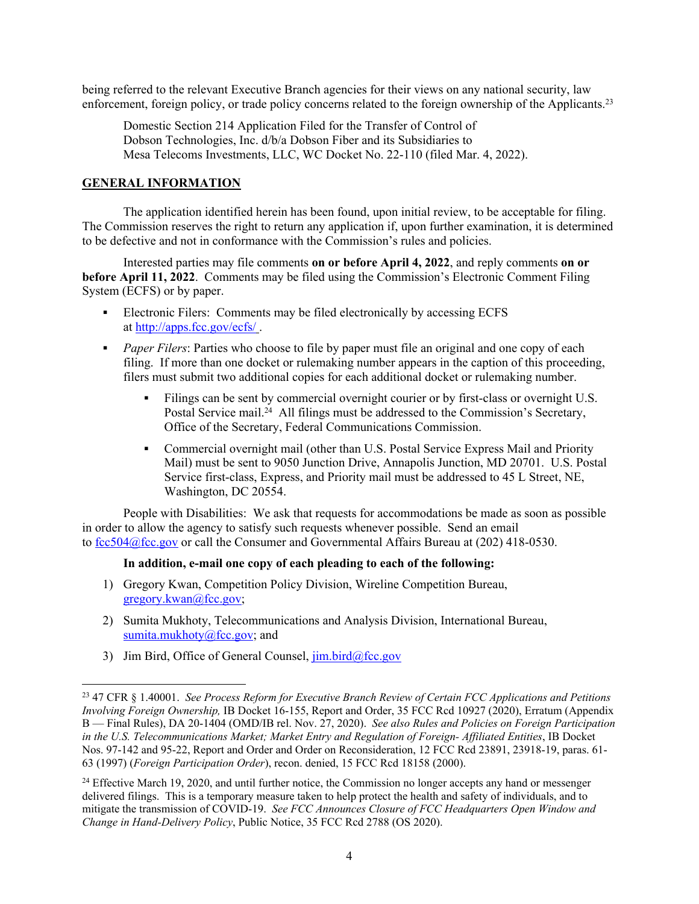being referred to the relevant Executive Branch agencies for their views on any national security, law enforcement, foreign policy, or trade policy concerns related to the foreign ownership of the Applicants.<sup>23</sup>

Domestic Section 214 Application Filed for the Transfer of Control of Dobson Technologies, Inc. d/b/a Dobson Fiber and its Subsidiaries to Mesa Telecoms Investments, LLC, WC Docket No. 22-110 (filed Mar. 4, 2022).

#### **GENERAL INFORMATION**

The application identified herein has been found, upon initial review, to be acceptable for filing. The Commission reserves the right to return any application if, upon further examination, it is determined to be defective and not in conformance with the Commission's rules and policies.

Interested parties may file comments **on or before April 4, 2022**, and reply comments **on or before April 11, 2022**. Comments may be filed using the Commission's Electronic Comment Filing System (ECFS) or by paper.

- Electronic Filers: Comments may be filed electronically by accessing ECFS at <http://apps.fcc.gov/ecfs/> .
- **Paper Filers:** Parties who choose to file by paper must file an original and one copy of each filing. If more than one docket or rulemaking number appears in the caption of this proceeding, filers must submit two additional copies for each additional docket or rulemaking number.
	- Filings can be sent by commercial overnight courier or by first-class or overnight U.S. Postal Service mail.<sup>24</sup> All filings must be addressed to the Commission's Secretary, Office of the Secretary, Federal Communications Commission.
	- Commercial overnight mail (other than U.S. Postal Service Express Mail and Priority Mail) must be sent to 9050 Junction Drive, Annapolis Junction, MD 20701. U.S. Postal Service first-class, Express, and Priority mail must be addressed to 45 L Street, NE, Washington, DC 20554.

People with Disabilities: We ask that requests for accommodations be made as soon as possible in order to allow the agency to satisfy such requests whenever possible. Send an email to [fcc504@fcc.gov](mailto:fcc504@fcc.gov) or call the Consumer and Governmental Affairs Bureau at (202) 418-0530.

#### **In addition, e-mail one copy of each pleading to each of the following:**

- 1) Gregory Kwan, Competition Policy Division, Wireline Competition Bureau, [gregory.kwan@fcc.gov;](mailto:gregory.kwan@fcc.gov)
- 2) Sumita Mukhoty, Telecommunications and Analysis Division, International Bureau, [sumita.mukhoty@fcc.gov](mailto:sumita.mukhoty@fcc.gov); and
- 3) Jim Bird, Office of General Counsel,  $\lim_{\alpha \to 0}$  bird@fcc.gov

<sup>23</sup> 47 CFR § 1.40001. *See Process Reform for Executive Branch Review of Certain FCC Applications and Petitions Involving Foreign Ownership,* IB Docket 16-155, Report and Order, 35 FCC Rcd 10927 (2020), Erratum (Appendix B — Final Rules), DA 20-1404 (OMD/IB rel. Nov. 27, 2020). *See also Rules and Policies on Foreign Participation in the U.S. Telecommunications Market; Market Entry and Regulation of Foreign- Affiliated Entities*, IB Docket Nos. 97-142 and 95-22, Report and Order and Order on Reconsideration, 12 FCC Rcd 23891, 23918-19, paras. 61- 63 (1997) (*Foreign Participation Order*), recon. denied, 15 FCC Rcd 18158 (2000).

<sup>&</sup>lt;sup>24</sup> Effective March 19, 2020, and until further notice, the Commission no longer accepts any hand or messenger delivered filings. This is a temporary measure taken to help protect the health and safety of individuals, and to mitigate the transmission of COVID-19. *See FCC Announces Closure of FCC Headquarters Open Window and Change in Hand-Delivery Policy*, Public Notice, 35 FCC Rcd 2788 (OS 2020).